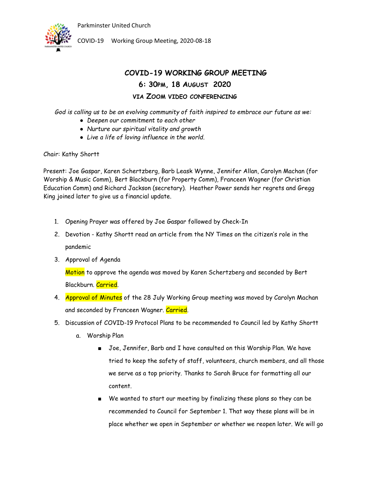

COVID-19 Working Group Meeting, 2020-08-18

### **COVID-19 WORKING GROUP MEETING 6: 30PM, 18 AUGUST 2020 VIA ZOOM VIDEO CONFERENCING**

*God is calling us to be an evolving community of faith inspired to embrace our future as we:*

- *Deepen our commitment to each other*
- *Nurture our spiritual vitality and growth*
- *Live a life of loving influence in the world.*

Chair: Kathy Shortt

Present: Joe Gaspar, Karen Schertzberg, Barb Leask Wynne, Jennifer Allan, Carolyn Machan (for Worship & Music Comm), Bert Blackburn (for Property Comm), Franceen Wagner (for Christian Education Comm) and Richard Jackson (secretary). Heather Power sends her regrets and Gregg King joined later to give us a financial update.

- 1. Opening Prayer was offered by Joe Gaspar followed by Check-In
- 2. Devotion Kathy Shortt read an article from the NY Times on the citizen's role in the pandemic
- 3. Approval of Agenda

Motion to approve the agenda was moved by Karen Schertzberg and seconded by Bert Blackburn. Carried.

- 4. Approval of Minutes of the 28 July Working Group meeting was moved by Carolyn Machan and seconded by Franceen Wagner. Carried.
- 5. Discussion of COVID-19 Protocol Plans to be recommended to Council led by Kathy Shortt
	- a. Worship Plan
		- Joe, Jennifer, Barb and I have consulted on this Worship Plan. We have tried to keep the safety of staff, volunteers, church members, and all those we serve as a top priority. Thanks to Sarah Bruce for formatting all our content.
		- We wanted to start our meeting by finalizing these plans so they can be recommended to Council for September 1. That way these plans will be in place whether we open in September or whether we reopen later. We will go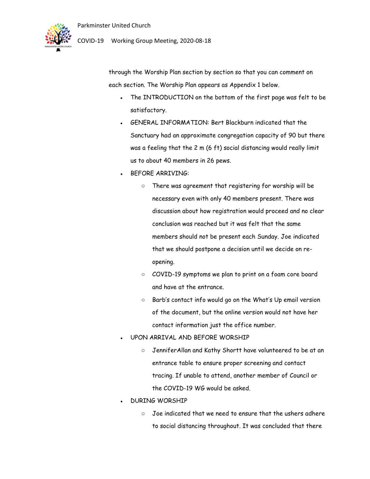

### COVID-19 Working Group Meeting, 2020-08-18

through the Worship Plan section by section so that you can comment on each section. The Worship Plan appears as Appendix 1 below.

- The INTRODUCTION on the bottom of the first page was felt to be satisfactory.
- GENERAL INFORMATION: Bert Blackburn indicated that the Sanctuary had an approximate congregation capacity of 90 but there was a feeling that the 2 m (6 ft) social distancing would really limit us to about 40 members in 26 pews.
- BEFORE ARRIVING:
	- There was agreement that registering for worship will be necessary even with only 40 members present. There was discussion about how registration would proceed and no clear conclusion was reached but it was felt that the same members should not be present each Sunday. Joe indicated that we should postpone a decision until we decide on reopening.
	- COVID-19 symptoms we plan to print on a foam core board and have at the entrance.
	- Barb's contact info would go on the What's Up email version of the document, but the online version would not have her contact information just the office number.
- UPON ARRIVAL AND BEFORE WORSHIP
	- JenniferAllan and Kathy Shortt have volunteered to be at an entrance table to ensure proper screening and contact tracing. If unable to attend, another member of Council or the COVID-19 WG would be asked.
- DURING WORSHIP
	- Joe indicated that we need to ensure that the ushers adhere to social distancing throughout. It was concluded that there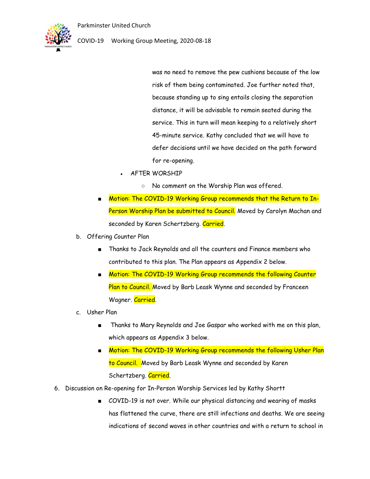

was no need to remove the pew cushions because of the low risk of them being contaminated. Joe further noted that, because standing up to sing entails closing the separation distance, it will be advisable to remain seated during the service. This in turn will mean keeping to a relatively short 45-minute service. Kathy concluded that we will have to defer decisions until we have decided on the path forward for re-opening.

- AFTER WORSHIP
	- No comment on the Worship Plan was offered.
- Motion: The COVID-19 Working Group recommends that the Return to In-Person Worship Plan be submitted to Council. Moved by Carolyn Machan and seconded by Karen Schertzberg. Carried.
- b. Offering Counter Plan
	- Thanks to Jack Reynolds and all the counters and Finance members who contributed to this plan. The Plan appears as Appendix 2 below.
	- Motion: The COVID-19 Working Group recommends the following Counter Plan to Council. Moved by Barb Leask Wynne and seconded by Franceen Wagner. Carried.
- c. Usher Plan
	- Thanks to Mary Reynolds and Joe Gaspar who worked with me on this plan, which appears as Appendix 3 below.
	- Motion: The COVID-19 Working Group recommends the following Usher Plan to Council. Moved by Barb Leask Wynne and seconded by Karen Schertzberg. Carried.
- 6. Discussion on Re-opening for In-Person Worship Services led by Kathy Shortt
	- COVID-19 is not over. While our physical distancing and wearing of masks has flattened the curve, there are still infections and deaths. We are seeing indications of second waves in other countries and with a return to school in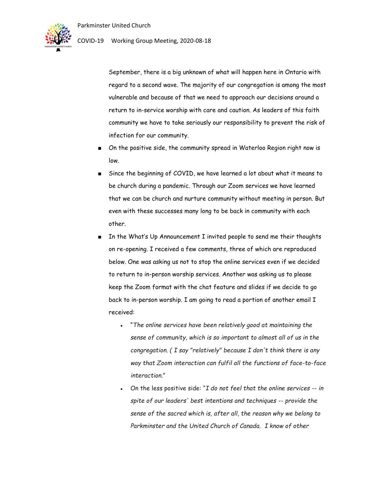

September, there is a big unknown of what will happen here in Ontario with regard to a second wave. The majority of our congregation is among the most vulnerable and because of that we need to approach our decisions around a return to in-service worship with care and caution. As leaders of this faith community we have to take seriously our responsibility to prevent the risk of infection for our community.

- On the positive side, the community spread in Waterloo Region right now is low.
- Since the beginning of COVID, we have learned a lot about what it means to be church during a pandemic. Through our Zoom services we have learned that we can be church and nurture community without meeting in person. But even with these successes many long to be back in community with each other.
- In the What's Up Announcement I invited people to send me their thoughts on re-opening. I received a few comments, three of which are reproduced below. One was asking us not to stop the online services even if we decided to return to in-person worship services. Another was asking us to please keep the Zoom format with the chat feature and slides if we decide to go back to in-person worship. I am going to read a portion of another email I received:
	- "*The online services have been relatively good at maintaining the sense of community, which is so important to almost all of us in the congregation. ( I say "relatively" because I don't think there is any way that Zoom interaction can fulfil all the functions of face-to-face interaction.*"
	- On the less positive side: "*I do not feel that the online services -- in spite of our leaders' best intentions and techniques -- provide the sense of the sacred which is, after all, the reason why we belong to Parkminster and the United Church of Canada. I know of other*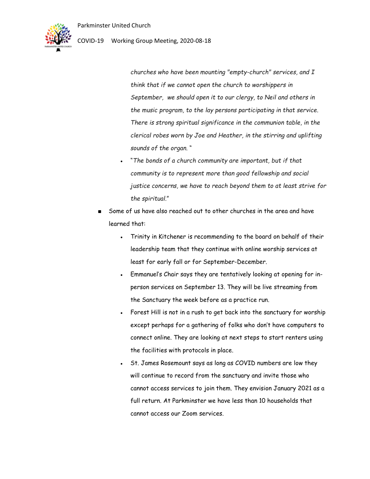

### COVID-19 Working Group Meeting, 2020-08-18

*churches who have been mounting "empty-church" services, and I think that if we cannot open the church to worshippers in September, we should open it to our clergy, to Neil and others in the music program, to the lay persons participating in that service. There is strong spiritual significance in the communion table, in the clerical robes worn by Joe and Heather, in the stirring and uplifting sounds of the organ*. "

- "*The bonds of a church community are important, but if that community is to represent more than good fellowship and social justice concerns, we have to reach beyond them to at least strive for the spiritual.*"
- Some of us have also reached out to other churches in the area and have learned that:
	- Trinity in Kitchener is recommending to the board on behalf of their leadership team that they continue with online worship services at least for early fall or for September-December.
	- Emmanuel's Chair says they are tentatively looking at opening for inperson services on September 13. They will be live streaming from the Sanctuary the week before as a practice run.
	- Forest Hill is not in a rush to get back into the sanctuary for worship except perhaps for a gathering of folks who don't have computers to connect online. They are looking at next steps to start renters using the facilities with protocols in place.
	- St. James Rosemount says as long as COVID numbers are low they will continue to record from the sanctuary and invite those who cannot access services to join them. They envision January 2021 as a full return. At Parkminster we have less than 10 households that cannot access our Zoom services.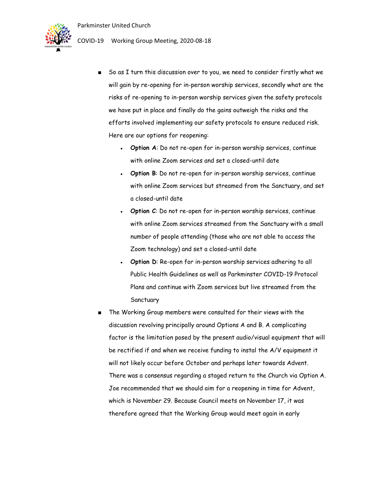

COVID-19 Working Group Meeting, 2020-08-18

- So as I turn this discussion over to you, we need to consider firstly what we will gain by re-opening for in-person worship services, secondly what are the risks of re-opening to in-person worship services given the safety protocols we have put in place and finally do the gains outweigh the risks and the efforts involved implementing our safety protocols to ensure reduced risk. Here are our options for reopening:
	- Option A: Do not re-open for in-person worship services, continue with online Zoom services and set a closed-until date
	- Option B: Do not re-open for in-person worship services, continue with online Zoom services but streamed from the Sanctuary, and set a closed-until date
	- **Option C:** Do not re-open for in-person worship services, continue with online Zoom services streamed from the Sanctuary with a small number of people attending (those who are not able to access the Zoom technology) and set a closed-until date
	- **Option D:** Re-open for in-person worship services adhering to all Public Health Guidelines as well as Parkminster COVID-19 Protocol Plans and continue with Zoom services but live streamed from the Sanctuary
- The Working Group members were consulted for their views with the discussion revolving principally around Options A and B. A complicating factor is the limitation posed by the present audio/visual equipment that will be rectified if and when we receive funding to instal the A/V equipment it will not likely occur before October and perhaps later towards Advent. There was a consensus regarding a staged return to the Church via Option A. Joe recommended that we should aim for a reopening in time for Advent, which is November 29. Because Council meets on November 17, it was therefore agreed that the Working Group would meet again in early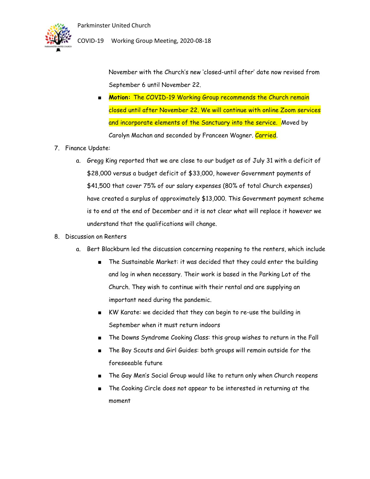

November with the Church's new 'closed-until after' date now revised from September 6 until November 22.

- **Motion:** The COVID-19 Working Group recommends the Church remain closed until after November 22. We will continue with online Zoom services and incorporate elements of the Sanctuary into the service. Moved by Carolyn Machan and seconded by Franceen Wagner. Carried.
- 7. Finance Update:
	- a. Gregg King reported that we are close to our budget as of July 31 with a deficit of \$28,000 versus a budget deficit of \$33,000, however Government payments of \$41,500 that cover 75% of our salary expenses (80% of total Church expenses) have created a surplus of approximately \$13,000. This Government payment scheme is to end at the end of December and it is not clear what will replace it however we understand that the qualifications will change.

#### 8. Discussion on Renters

- a. Bert Blackburn led the discussion concerning reopening to the renters, which include
	- The Sustainable Market: it was decided that they could enter the building and log in when necessary. Their work is based in the Parking Lot of the Church. They wish to continue with their rental and are supplying an important need during the pandemic.
	- KW Karate: we decided that they can begin to re-use the building in September when it must return indoors
	- The Downs Syndrome Cooking Class: this group wishes to return in the Fall
	- The Boy Scouts and Girl Guides: both groups will remain outside for the foreseeable future
	- The Gay Men's Social Group would like to return only when Church reopens
	- The Cooking Circle does not appear to be interested in returning at the moment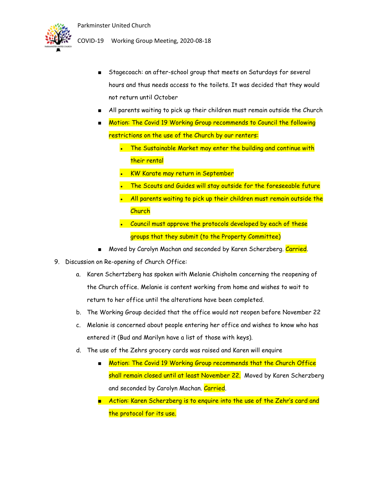

COVID-19 Working Group Meeting, 2020-08-18

- Stagecoach: an after-school group that meets on Saturdays for several hours and thus needs access to the toilets. It was decided that they would not return until October
- All parents waiting to pick up their children must remain outside the Church
- Motion: The Covid 19 Working Group recommends to Council the following restrictions on the use of the Church by our renters:
	- The Sustainable Market may enter the building and continue with their rental
	- **KW Karate may return in September**
	- The Scouts and Guides will stay outside for the foreseeable future
	- All parents waiting to pick up their children must remain outside the **Church**
	- Council must approve the protocols developed by each of these groups that they submit (to the Property Committee)
- Moved by Carolyn Machan and seconded by Karen Scherzberg. Carried.
- 9. Discussion on Re-opening of Church Office:
	- a. Karen Schertzberg has spoken with Melanie Chisholm concerning the reopening of the Church office. Melanie is content working from home and wishes to wait to return to her office until the alterations have been completed.
	- b. The Working Group decided that the office would not reopen before November 22
	- c. Melanie is concerned about people entering her office and wishes to know who has entered it (Bud and Marilyn have a list of those with keys).
	- d. The use of the Zehrs grocery cards was raised and Karen will enquire
		- Motion: The Covid 19 Working Group recommends that the Church Office shall remain closed until at least November 22. Moved by Karen Scherzberg and seconded by Carolyn Machan. Carried.
		- Action: Karen Scherzberg is to enquire into the use of the Zehr's card and the protocol for its use.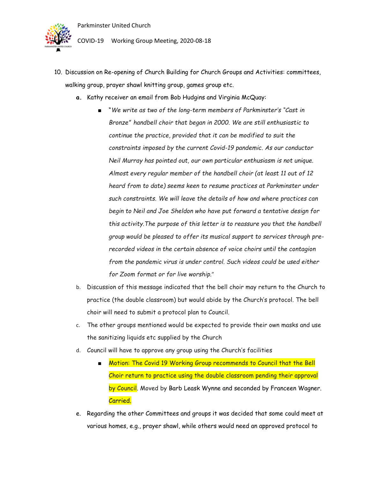

COVID-19 Working Group Meeting, 2020-08-18

- 10. Discussion on Re-opening of Church Building for Church Groups and Activities: committees, walking group, prayer shawl knitting group, games group etc.
	- **a.** Kathy receiver an email from Bob Hudgins and Virginia McQuay:
		- *"We write as two of the long-term members of Parkminster's "Cast in Bronze" handbell choir that began in 2000. We are still enthusiastic to continue the practice, provided that it can be modified to suit the constraints imposed by the current Covid-19 pandemic. As our conductor Neil Murray has pointed out, our own particular enthusiasm is not unique. Almost every regular member of the handbell choir (at least 11 out of 12 heard from to date) seems keen to resume practices at Parkminster under such constraints. We will leave the details of how and where practices can begin to Neil and Joe Sheldon who have put forward a tentative design for this activity.The purpose of this letter is to reassure you that the handbell group would be pleased to offer its musical support to services through prerecorded videos in the certain absence of voice choirs until the contagion from the pandemic virus is under control. Such videos could be used either for Zoom format or for live worship.*"
	- b. Discussion of this message indicated that the bell choir may return to the Church to practice (the double classroom) but would abide by the Church's protocol. The bell choir will need to submit a protocol plan to Council.
	- c. The other groups mentioned would be expected to provide their own masks and use the sanitizing liquids etc supplied by the Church
	- d. Council will have to approve any group using the Church's facilities
		- Motion: The Covid 19 Working Group recommends to Council that the Bell Choir return to practice using the double classroom pending their approval by Council. Moved by Barb Leask Wynne and seconded by Franceen Wagner. Carried.
	- e. Regarding the other Committees and groups it was decided that some could meet at various homes, e.g., prayer shawl, while others would need an approved protocol to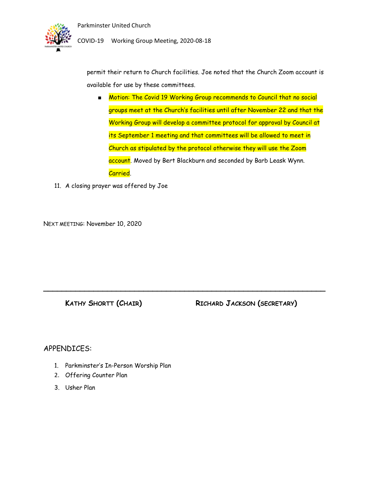

permit their return to Church facilities. Joe noted that the Church Zoom account is available for use by these committees.

■ Motion: The Covid 19 Working Group recommends to Council that no social groups meet at the Church's facilities until after November 22 and that the Working Group will develop a committee protocol for approval by Council at its September 1 meeting and that committees will be allowed to meet in Church as stipulated by the protocol otherwise they will use the Zoom account. Moved by Bert Blackburn and seconded by Barb Leask Wynn. Carried.

**\_\_\_\_\_\_\_\_\_\_\_\_\_\_\_\_\_\_\_\_\_\_\_\_\_\_\_\_\_\_\_\_\_\_\_\_\_\_\_\_\_\_\_\_\_\_\_\_\_\_\_\_\_\_\_\_\_\_\_\_\_\_**

11. A closing prayer was offered by Joe

NEXT MEETING: November 10, 2020

**KATHY SHORTT (CHAIR) RICHARD JACKSON (SECRETARY)**

### APPENDICES:

- 1. Parkminster's In-Person Worship Plan
- 2. Offering Counter Plan
- 3. Usher Plan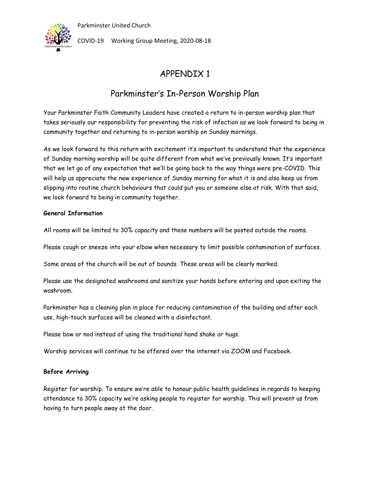

COVID-19 Working Group Meeting, 2020-08-18

## APPENDIX 1

## Parkminster's In-Person Worship Plan

Your Parkminster Faith Community Leaders have created a return to in-person worship plan that takes seriously our responsibility for preventing the risk of infection as we look forward to being in community together and returning to in-person worship on Sunday mornings.

As we look forward to this return with excitement it's important to understand that the experience of Sunday morning worship will be quite different from what we've previously known. It's important that we let go of any expectation that we'll be going back to the way things were pre-COVID. This will help us appreciate the new experience of Sunday morning for what it is and also keep us from slipping into routine church behaviours that could put you or someone else at risk. With that said, we look forward to being in community together.

### **General Information**

All rooms will be limited to 30% capacity and these numbers will be posted outside the rooms.

Please cough or sneeze into your elbow when necessary to limit possible contamination of surfaces.

Some areas of the church will be out of bounds. These areas will be clearly marked.

Please use the designated washrooms and sanitize your hands before entering and upon exiting the washroom.

Parkminster has a cleaning plan in place for reducing contamination of the building and after each use, high-touch surfaces will be cleaned with a disinfectant.

Please bow or nod instead of using the traditional hand shake or hugs.

Worship services will continue to be offered over the internet via ZOOM and Facebook.

#### **Before Arriving**

Register for worship. To ensure we're able to honour public health guidelines in regards to keeping attendance to 30% capacity we're asking people to register for worship. This will prevent us from having to turn people away at the door.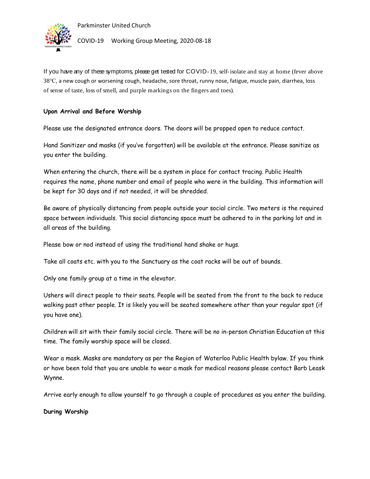



If you have any of these symptoms, please get tested for COVID-19, self-isolate and stay at home (fever above 38℃, a new cough or worsening cough, headache, sore throat, runny nose, fatigue, muscle pain, diarrhea, loss of sense of taste, loss of smell, and purple markings on the fingers and toes).

### **Upon Arrival and Before Worship**

Please use the designated entrance doors. The doors will be propped open to reduce contact.

Hand Sanitizer and masks (if you've forgotten) will be available at the entrance. Please sanitize as you enter the building.

When entering the church, there will be a system in place for contact tracing. Public Health requires the name, phone number and email of people who were in the building. This information will be kept for 30 days and if not needed, it will be shredded.

Be aware of physically distancing from people outside your social circle. Two meters is the required space between individuals. This social distancing space must be adhered to in the parking lot and in all areas of the building.

Please bow or nod instead of using the traditional hand shake or hugs.

Take all coats etc. with you to the Sanctuary as the coat racks will be out of bounds.

Only one family group at a time in the elevator.

Ushers will direct people to their seats. People will be seated from the front to the back to reduce walking past other people. It is likely you will be seated somewhere other than your regular spot (if you have one).

Children will sit with their family social circle. There will be no in-person Christian Education at this time. The family worship space will be closed.

Wear a mask. Masks are mandatory as per the Region of Waterloo Public Health bylaw. If you think or have been told that you are unable to wear a mask for medical reasons please contact Barb Leask Wynne.

Arrive early enough to allow yourself to go through a couple of procedures as you enter the building.

**During Worship**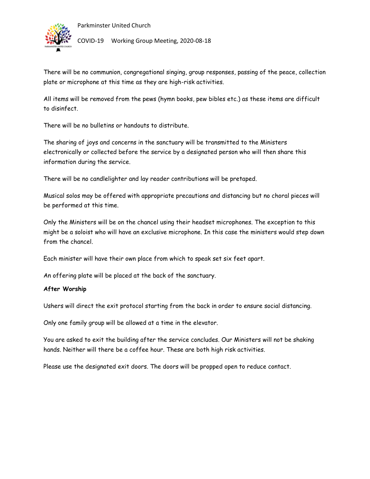



There will be no communion, congregational singing, group responses, passing of the peace, collection plate or microphone at this time as they are high-risk activities.

All items will be removed from the pews (hymn books, pew bibles etc.) as these items are difficult to disinfect.

There will be no bulletins or handouts to distribute.

The sharing of joys and concerns in the sanctuary will be transmitted to the Ministers electronically or collected before the service by a designated person who will then share this information during the service.

There will be no candlelighter and lay reader contributions will be pretaped.

Musical solos may be offered with appropriate precautions and distancing but no choral pieces will be performed at this time.

Only the Ministers will be on the chancel using their headset microphones. The exception to this might be a soloist who will have an exclusive microphone. In this case the ministers would step down from the chancel.

Each minister will have their own place from which to speak set six feet apart.

An offering plate will be placed at the back of the sanctuary.

#### **After Worship**

Ushers will direct the exit protocol starting from the back in order to ensure social distancing.

Only one family group will be allowed at a time in the elevator.

You are asked to exit the building after the service concludes. Our Ministers will not be shaking hands. Neither will there be a coffee hour. These are both high risk activities.

Please use the designated exit doors. The doors will be propped open to reduce contact.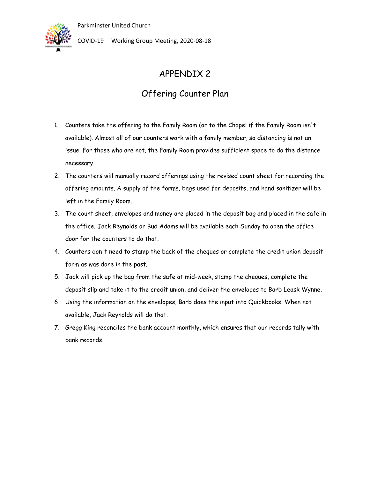

COVID-19 Working Group Meeting, 2020-08-18

## APPENDIX 2

## Offering Counter Plan

- 1. Counters take the offering to the Family Room (or to the Chapel if the Family Room isn't available). Almost all of our counters work with a family member, so distancing is not an issue. For those who are not, the Family Room provides sufficient space to do the distance necessary.
- 2. The counters will manually record offerings using the revised count sheet for recording the offering amounts. A supply of the forms, bags used for deposits, and hand sanitizer will be left in the Family Room.
- 3. The count sheet, envelopes and money are placed in the deposit bag and placed in the safe in the office. Jack Reynolds or Bud Adams will be available each Sunday to open the office door for the counters to do that.
- 4. Counters don't need to stamp the back of the cheques or complete the credit union deposit form as was done in the past.
- 5. Jack will pick up the bag from the safe at mid-week, stamp the cheques, complete the deposit slip and take it to the credit union, and deliver the envelopes to Barb Leask Wynne.
- 6. Using the information on the envelopes, Barb does the input into Quickbooks. When not available, Jack Reynolds will do that.
- 7. Gregg King reconciles the bank account monthly, which ensures that our records tally with bank records.